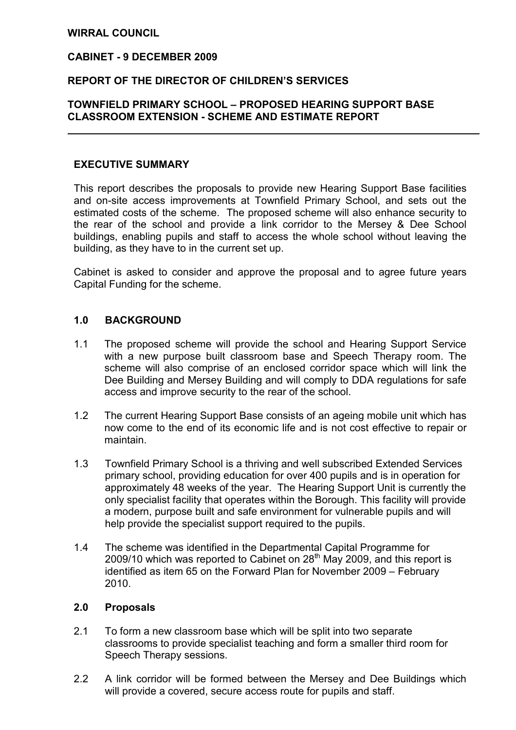# WIRRAL COUNCIL

 $\overline{a}$ 

# CABINET - 9 DECEMBER 2009

### REPORT OF THE DIRECTOR OF CHILDREN'S SERVICES

# TOWNFIELD PRIMARY SCHOOL – PROPOSED HEARING SUPPORT BASE CLASSROOM EXTENSION - SCHEME AND ESTIMATE REPORT

#### EXECUTIVE SUMMARY

 This report describes the proposals to provide new Hearing Support Base facilities and on-site access improvements at Townfield Primary School, and sets out the estimated costs of the scheme. The proposed scheme will also enhance security to the rear of the school and provide a link corridor to the Mersey & Dee School buildings, enabling pupils and staff to access the whole school without leaving the building, as they have to in the current set up.

Cabinet is asked to consider and approve the proposal and to agree future years Capital Funding for the scheme.

### 1.0 BACKGROUND

- 1.1 The proposed scheme will provide the school and Hearing Support Service with a new purpose built classroom base and Speech Therapy room. The scheme will also comprise of an enclosed corridor space which will link the Dee Building and Mersey Building and will comply to DDA regulations for safe access and improve security to the rear of the school.
- 1.2 The current Hearing Support Base consists of an ageing mobile unit which has now come to the end of its economic life and is not cost effective to repair or maintain.
- 1.3 Townfield Primary School is a thriving and well subscribed Extended Services primary school, providing education for over 400 pupils and is in operation for approximately 48 weeks of the year. The Hearing Support Unit is currently the only specialist facility that operates within the Borough. This facility will provide a modern, purpose built and safe environment for vulnerable pupils and will help provide the specialist support required to the pupils.
- 1.4 The scheme was identified in the Departmental Capital Programme for 2009/10 which was reported to Cabinet on  $28<sup>th</sup>$  May 2009, and this report is identified as item 65 on the Forward Plan for November 2009 – February 2010.

#### 2.0 Proposals

- 2.1 To form a new classroom base which will be split into two separate classrooms to provide specialist teaching and form a smaller third room for Speech Therapy sessions.
- 2.2 A link corridor will be formed between the Mersey and Dee Buildings which will provide a covered, secure access route for pupils and staff.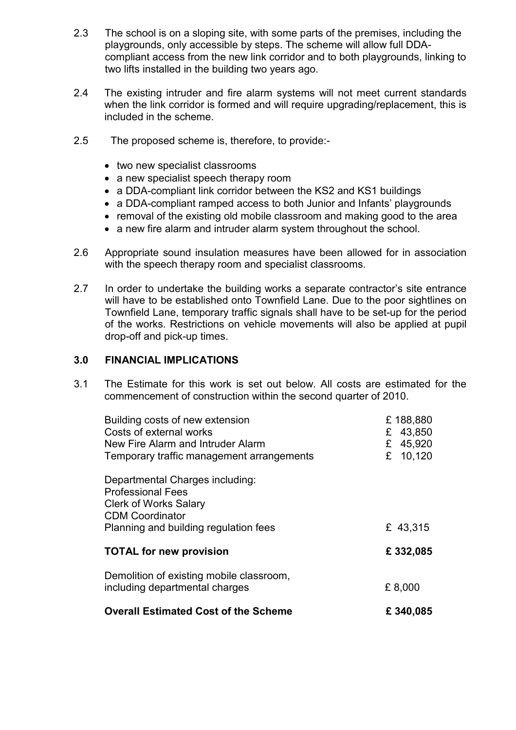- 2.3 The school is on a sloping site, with some parts of the premises, including the playgrounds, only accessible by steps. The scheme will allow full DDAcompliant access from the new link corridor and to both playgrounds, linking to two lifts installed in the building two years ago.
- 2.4 The existing intruder and fire alarm systems will not meet current standards when the link corridor is formed and will require upgrading/replacement, this is included in the scheme.
- 2.5 The proposed scheme is, therefore, to provide:-
	- two new specialist classrooms
	- a new specialist speech therapy room
	- a DDA-compliant link corridor between the KS2 and KS1 buildings
	- a DDA-compliant ramped access to both Junior and Infants' playgrounds
	- removal of the existing old mobile classroom and making good to the area
	- a new fire alarm and intruder alarm system throughout the school.
- 2.6 Appropriate sound insulation measures have been allowed for in association with the speech therapy room and specialist classrooms.
- 2.7 In order to undertake the building works a separate contractor's site entrance will have to be established onto Townfield Lane. Due to the poor sightlines on Townfield Lane, temporary traffic signals shall have to be set-up for the period of the works. Restrictions on vehicle movements will also be applied at pupil drop-off and pick-up times.

# 3.0 FINANCIAL IMPLICATIONS

3.1 The Estimate for this work is set out below. All costs are estimated for the commencement of construction within the second quarter of 2010.

| <b>Professional Fees</b><br><b>Clerk of Works Salary</b>                   |          |
|----------------------------------------------------------------------------|----------|
| <b>CDM Coordinator</b><br>Planning and building regulation fees            | £ 43,315 |
| <b>TOTAL for new provision</b>                                             | £332,085 |
| Demolition of existing mobile classroom,<br>including departmental charges | £8,000   |
| <b>Overall Estimated Cost of the Scheme</b>                                | £340,085 |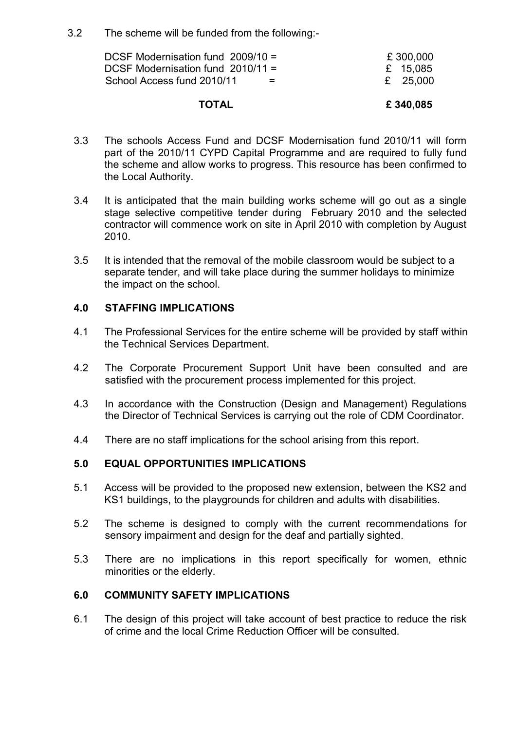3.2 The scheme will be funded from the following:-

| <b>TOTAL</b>                                                                                                | £340,085                           |
|-------------------------------------------------------------------------------------------------------------|------------------------------------|
| DCSF Modernisation fund $2009/10 =$<br>DCSF Modernisation fund 2010/11 =<br>School Access fund 2010/11<br>= | £300,000<br>£ 15.085<br>£ $25.000$ |

- 3.3 The schools Access Fund and DCSF Modernisation fund 2010/11 will form part of the 2010/11 CYPD Capital Programme and are required to fully fund the scheme and allow works to progress. This resource has been confirmed to the Local Authority.
- 3.4 It is anticipated that the main building works scheme will go out as a single stage selective competitive tender during February 2010 and the selected contractor will commence work on site in April 2010 with completion by August 2010.
- 3.5 It is intended that the removal of the mobile classroom would be subject to a separate tender, and will take place during the summer holidays to minimize the impact on the school.

# 4.0 STAFFING IMPLICATIONS

- 4.1 The Professional Services for the entire scheme will be provided by staff within the Technical Services Department.
- 4.2 The Corporate Procurement Support Unit have been consulted and are satisfied with the procurement process implemented for this project.
- 4.3 In accordance with the Construction (Design and Management) Regulations the Director of Technical Services is carrying out the role of CDM Coordinator.
- 4.4 There are no staff implications for the school arising from this report.

# 5.0 EQUAL OPPORTUNITIES IMPLICATIONS

- 5.1 Access will be provided to the proposed new extension, between the KS2 and KS1 buildings, to the playgrounds for children and adults with disabilities.
- 5.2 The scheme is designed to comply with the current recommendations for sensory impairment and design for the deaf and partially sighted.
- 5.3 There are no implications in this report specifically for women, ethnic minorities or the elderly.

# 6.0 COMMUNITY SAFETY IMPLICATIONS

6.1 The design of this project will take account of best practice to reduce the risk of crime and the local Crime Reduction Officer will be consulted.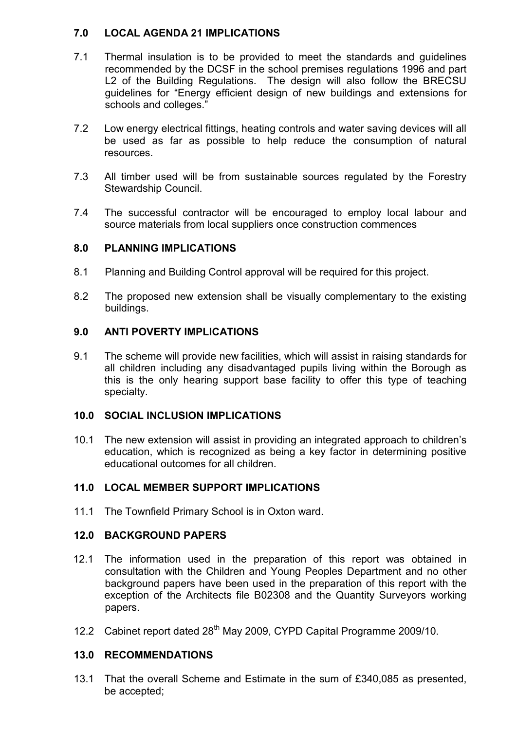# 7.0 LOCAL AGENDA 21 IMPLICATIONS

- 7.1 Thermal insulation is to be provided to meet the standards and guidelines recommended by the DCSF in the school premises regulations 1996 and part L2 of the Building Regulations. The design will also follow the BRECSU guidelines for "Energy efficient design of new buildings and extensions for schools and colleges."
- 7.2 Low energy electrical fittings, heating controls and water saving devices will all be used as far as possible to help reduce the consumption of natural resources.
- 7.3 All timber used will be from sustainable sources regulated by the Forestry Stewardship Council.
- 7.4 The successful contractor will be encouraged to employ local labour and source materials from local suppliers once construction commences

# 8.0 PLANNING IMPLICATIONS

- 8.1 Planning and Building Control approval will be required for this project.
- 8.2 The proposed new extension shall be visually complementary to the existing buildings.

# 9.0 ANTI POVERTY IMPLICATIONS

9.1 The scheme will provide new facilities, which will assist in raising standards for all children including any disadvantaged pupils living within the Borough as this is the only hearing support base facility to offer this type of teaching specialty.

# 10.0 SOCIAL INCLUSION IMPLICATIONS

10.1 The new extension will assist in providing an integrated approach to children's education, which is recognized as being a key factor in determining positive educational outcomes for all children.

# 11.0 LOCAL MEMBER SUPPORT IMPLICATIONS

11.1 The Townfield Primary School is in Oxton ward.

# 12.0 BACKGROUND PAPERS

- 12.1 The information used in the preparation of this report was obtained in consultation with the Children and Young Peoples Department and no other background papers have been used in the preparation of this report with the exception of the Architects file B02308 and the Quantity Surveyors working papers.
- 12.2 Cabinet report dated 28<sup>th</sup> May 2009, CYPD Capital Programme 2009/10.

# 13.0 RECOMMENDATIONS

13.1 That the overall Scheme and Estimate in the sum of £340,085 as presented, be accepted;